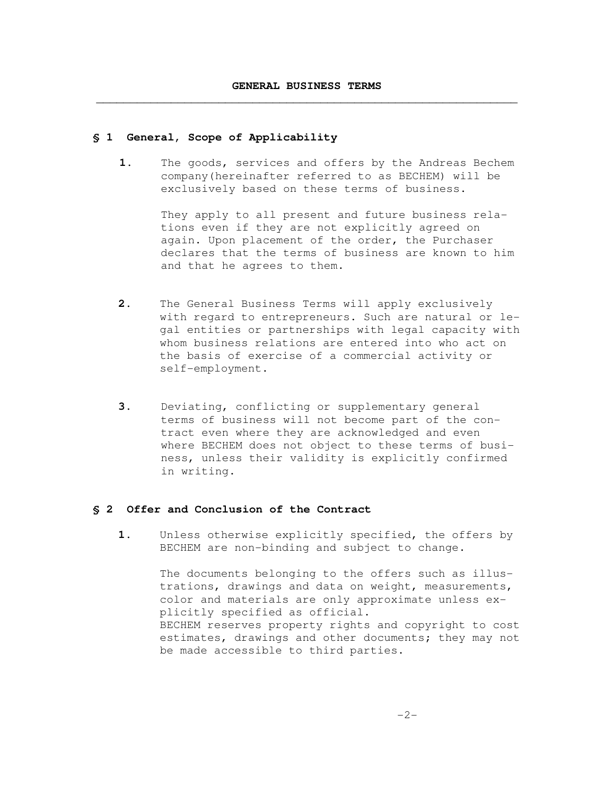## **§ 1 General, Scope of Applicability**

**1.** The goods, services and offers by the Andreas Bechem company(hereinafter referred to as BECHEM) will be exclusively based on these terms of business.

> They apply to all present and future business relations even if they are not explicitly agreed on again. Upon placement of the order, the Purchaser declares that the terms of business are known to him and that he agrees to them.

- **2.** The General Business Terms will apply exclusively with regard to entrepreneurs. Such are natural or legal entities or partnerships with legal capacity with whom business relations are entered into who act on the basis of exercise of a commercial activity or self-employment.
- **3.** Deviating, conflicting or supplementary general terms of business will not become part of the contract even where they are acknowledged and even where BECHEM does not object to these terms of business, unless their validity is explicitly confirmed in writing.

### **§ 2 Offer and Conclusion of the Contract**

 **1.** Unless otherwise explicitly specified, the offers by BECHEM are non-binding and subject to change**.** 

> The documents belonging to the offers such as illustrations, drawings and data on weight, measurements, color and materials are only approximate unless explicitly specified as official. BECHEM reserves property rights and copyright to cost estimates, drawings and other documents; they may not be made accessible to third parties.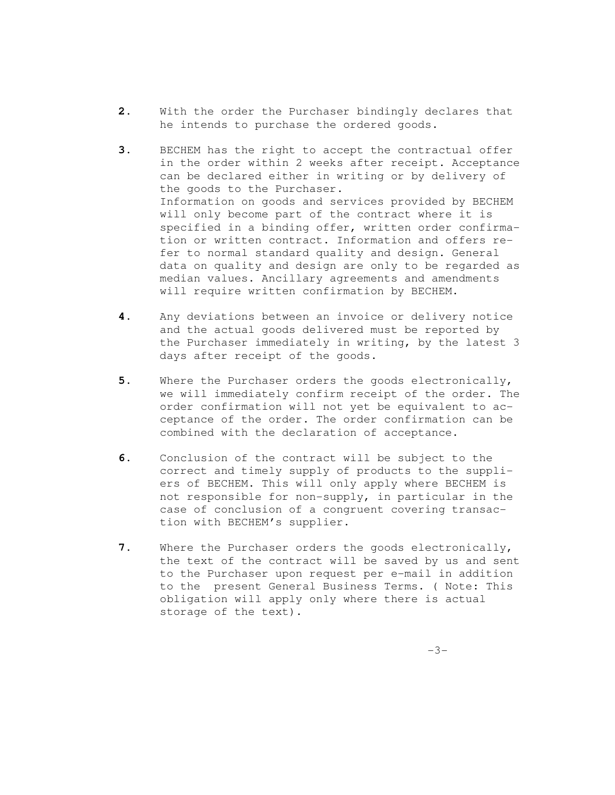- **2.** With the order the Purchaser bindingly declares that he intends to purchase the ordered goods.
- **3.** BECHEM has the right to accept the contractual offer in the order within 2 weeks after receipt. Acceptance can be declared either in writing or by delivery of the goods to the Purchaser. Information on goods and services provided by BECHEM will only become part of the contract where it is specified in a binding offer, written order confirmation or written contract. Information and offers refer to normal standard quality and design. General data on quality and design are only to be regarded as median values. Ancillary agreements and amendments will require written confirmation by BECHEM.
- **4.** Any deviations between an invoice or delivery notice and the actual goods delivered must be reported by the Purchaser immediately in writing, by the latest 3 days after receipt of the goods.
- **5.** Where the Purchaser orders the goods electronically, we will immediately confirm receipt of the order. The order confirmation will not yet be equivalent to acceptance of the order. The order confirmation can be combined with the declaration of acceptance.
- **6.** Conclusion of the contract will be subject to the correct and timely supply of products to the suppliers of BECHEM. This will only apply where BECHEM is not responsible for non-supply, in particular in the case of conclusion of a congruent covering transaction with BECHEM's supplier.
- **7.** Where the Purchaser orders the goods electronically, the text of the contract will be saved by us and sent to the Purchaser upon request per e-mail in addition to the present General Business Terms. ( Note: This obligation will apply only where there is actual storage of the text).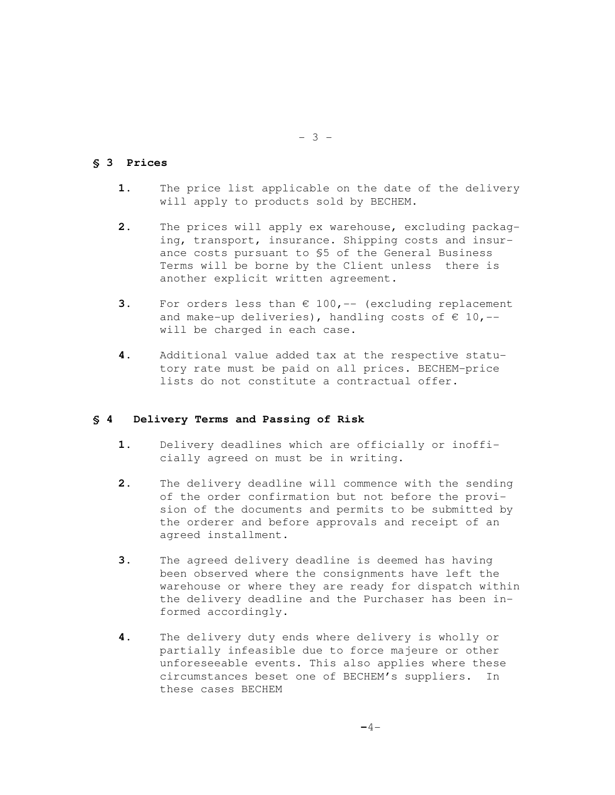## **§ 3 Prices**

- **1.** The price list applicable on the date of the delivery will apply to products sold by BECHEM.
- **2.** The prices will apply ex warehouse, excluding packaging, transport, insurance. Shipping costs and insurance costs pursuant to §5 of the General Business Terms will be borne by the Client unless there is another explicit written agreement.
- **3.** For orders less than € 100, -- (excluding replacement and make-up deliveries), handling costs of  $\epsilon$  10, -will be charged in each case.
- **4.** Additional value added tax at the respective statutory rate must be paid on all prices. BECHEM-price lists do not constitute a contractual offer.

### **§ 4 Delivery Terms and Passing of Risk**

- **1.** Delivery deadlines which are officially or inofficially agreed on must be in writing.
- **2.** The delivery deadline will commence with the sending of the order confirmation but not before the provision of the documents and permits to be submitted by the orderer and before approvals and receipt of an agreed installment.
- **3.** The agreed delivery deadline is deemed has having been observed where the consignments have left the warehouse or where they are ready for dispatch within the delivery deadline and the Purchaser has been informed accordingly.
- **4.** The delivery duty ends where delivery is wholly or partially infeasible due to force majeure or other unforeseeable events. This also applies where these circumstances beset one of BECHEM's suppliers. In these cases BECHEM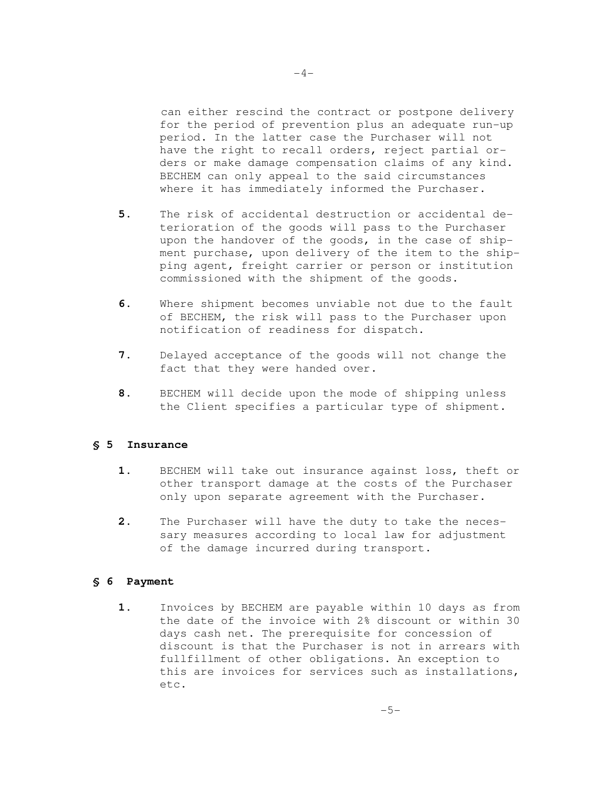can either rescind the contract or postpone delivery for the period of prevention plus an adequate run-up period. In the latter case the Purchaser will not have the right to recall orders, reject partial orders or make damage compensation claims of any kind. BECHEM can only appeal to the said circumstances where it has immediately informed the Purchaser.

- **5.** The risk of accidental destruction or accidental deterioration of the goods will pass to the Purchaser upon the handover of the goods, in the case of shipment purchase, upon delivery of the item to the shipping agent, freight carrier or person or institution commissioned with the shipment of the goods.
- **6.** Where shipment becomes unviable not due to the fault of BECHEM, the risk will pass to the Purchaser upon notification of readiness for dispatch.
- **7.** Delayed acceptance of the goods will not change the fact that they were handed over.
- **8.** BECHEM will decide upon the mode of shipping unless the Client specifies a particular type of shipment.

# **§ 5 Insurance**

- **1.** BECHEM will take out insurance against loss, theft or other transport damage at the costs of the Purchaser only upon separate agreement with the Purchaser.
- **2.** The Purchaser will have the duty to take the necessary measures according to local law for adjustment of the damage incurred during transport.

### **§ 6 Payment**

**1.** Invoices by BECHEM are payable within 10 days as from the date of the invoice with 2% discount or within 30 days cash net. The prerequisite for concession of discount is that the Purchaser is not in arrears with fullfillment of other obligations. An exception to this are invoices for services such as installations, etc.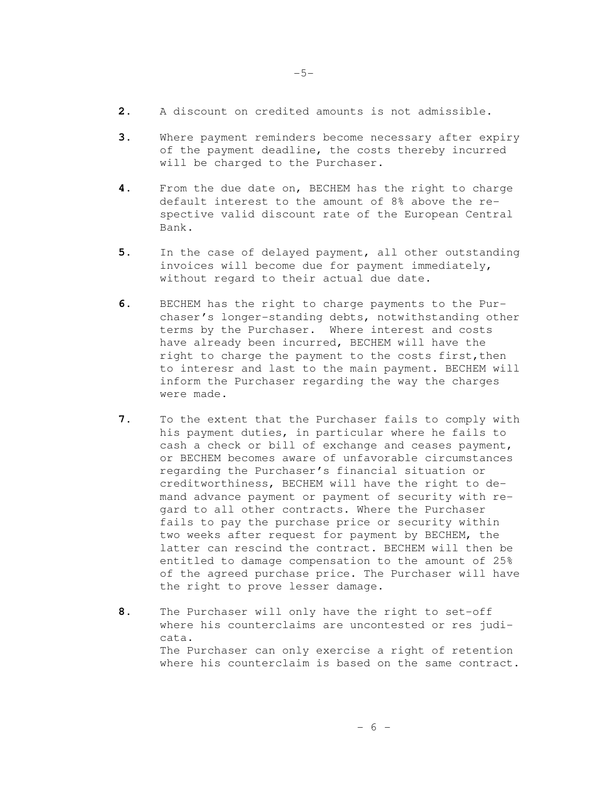- **2.** A discount on credited amounts is not admissible.
- **3.** Where payment reminders become necessary after expiry of the payment deadline, the costs thereby incurred will be charged to the Purchaser.
- **4.** From the due date on, BECHEM has the right to charge default interest to the amount of 8% above the respective valid discount rate of the European Central Bank.
- **5.** In the case of delayed payment, all other outstanding invoices will become due for payment immediately, without regard to their actual due date.
- **6.** BECHEM has the right to charge payments to the Purchaser's longer-standing debts, notwithstanding other terms by the Purchaser. Where interest and costs have already been incurred, BECHEM will have the right to charge the payment to the costs first, then to interesr and last to the main payment. BECHEM will inform the Purchaser regarding the way the charges were made.
- **7.** To the extent that the Purchaser fails to comply with his payment duties, in particular where he fails to cash a check or bill of exchange and ceases payment, or BECHEM becomes aware of unfavorable circumstances regarding the Purchaser's financial situation or creditworthiness, BECHEM will have the right to demand advance payment or payment of security with regard to all other contracts. Where the Purchaser fails to pay the purchase price or security within two weeks after request for payment by BECHEM, the latter can rescind the contract. BECHEM will then be entitled to damage compensation to the amount of 25% of the agreed purchase price. The Purchaser will have the right to prove lesser damage.
- **8.** The Purchaser will only have the right to set-off where his counterclaims are uncontested or res judicata. The Purchaser can only exercise a right of retention where his counterclaim is based on the same contract.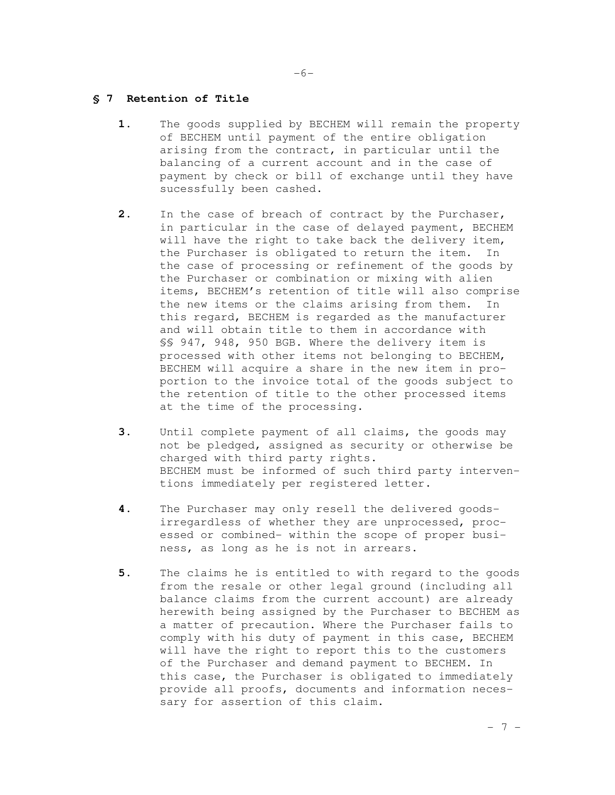## **§ 7 Retention of Title**

- **1.** The goods supplied by BECHEM will remain the property of BECHEM until payment of the entire obligation arising from the contract, in particular until the balancing of a current account and in the case of payment by check or bill of exchange until they have sucessfully been cashed.
- **2.** In the case of breach of contract by the Purchaser, in particular in the case of delayed payment, BECHEM will have the right to take back the delivery item, the Purchaser is obligated to return the item. In the case of processing or refinement of the goods by the Purchaser or combination or mixing with alien items, BECHEM's retention of title will also comprise the new items or the claims arising from them. In this regard, BECHEM is regarded as the manufacturer and will obtain title to them in accordance with §§ 947, 948, 950 BGB. Where the delivery item is processed with other items not belonging to BECHEM, BECHEM will acquire a share in the new item in proportion to the invoice total of the goods subject to the retention of title to the other processed items at the time of the processing.
- **3.** Until complete payment of all claims, the goods may not be pledged, assigned as security or otherwise be charged with third party rights. BECHEM must be informed of such third party interventions immediately per registered letter.
- **4.** The Purchaser may only resell the delivered goodsirregardless of whether they are unprocessed, processed or combined- within the scope of proper business, as long as he is not in arrears.
- **5.** The claims he is entitled to with regard to the goods from the resale or other legal ground (including all balance claims from the current account) are already herewith being assigned by the Purchaser to BECHEM as a matter of precaution. Where the Purchaser fails to comply with his duty of payment in this case, BECHEM will have the right to report this to the customers of the Purchaser and demand payment to BECHEM. In this case, the Purchaser is obligated to immediately provide all proofs, documents and information necessary for assertion of this claim.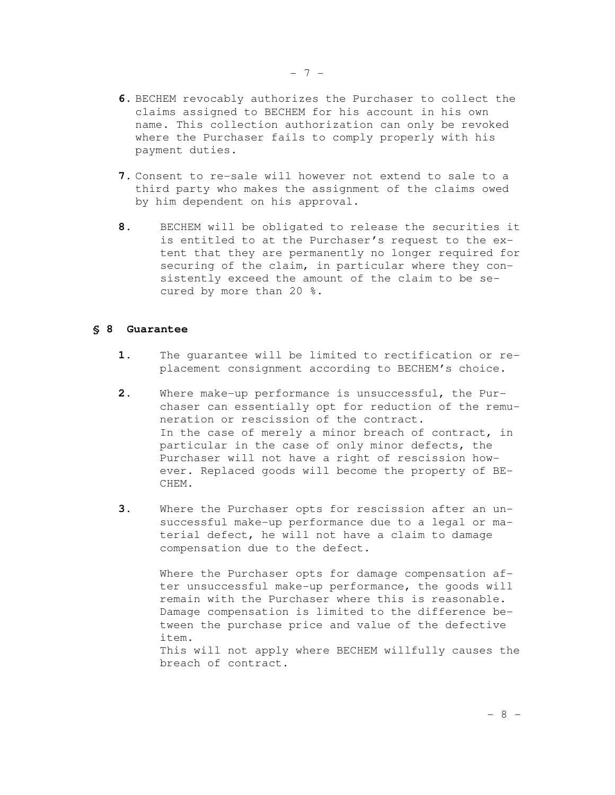- **6.** BECHEM revocably authorizes the Purchaser to collect the claims assigned to BECHEM for his account in his own name. This collection authorization can only be revoked where the Purchaser fails to comply properly with his payment duties.
- **7.** Consent to re-sale will however not extend to sale to a third party who makes the assignment of the claims owed by him dependent on his approval.
- **8.** BECHEM will be obligated to release the securities it is entitled to at the Purchaser's request to the extent that they are permanently no longer required for securing of the claim, in particular where they consistently exceed the amount of the claim to be secured by more than 20 %.

#### **§ 8 Guarantee**

- **1.** The guarantee will be limited to rectification or replacement consignment according to BECHEM's choice.
- **2.** Where make-up performance is unsuccessful, the Purchaser can essentially opt for reduction of the remuneration or rescission of the contract. In the case of merely a minor breach of contract, in particular in the case of only minor defects, the Purchaser will not have a right of rescission however. Replaced goods will become the property of BE-CHEM.
- **3.** Where the Purchaser opts for rescission after an unsuccessful make-up performance due to a legal or material defect, he will not have a claim to damage compensation due to the defect.

Where the Purchaser opts for damage compensation after unsuccessful make-up performance, the goods will remain with the Purchaser where this is reasonable. Damage compensation is limited to the difference between the purchase price and value of the defective item. This will not apply where BECHEM willfully causes the breach of contract.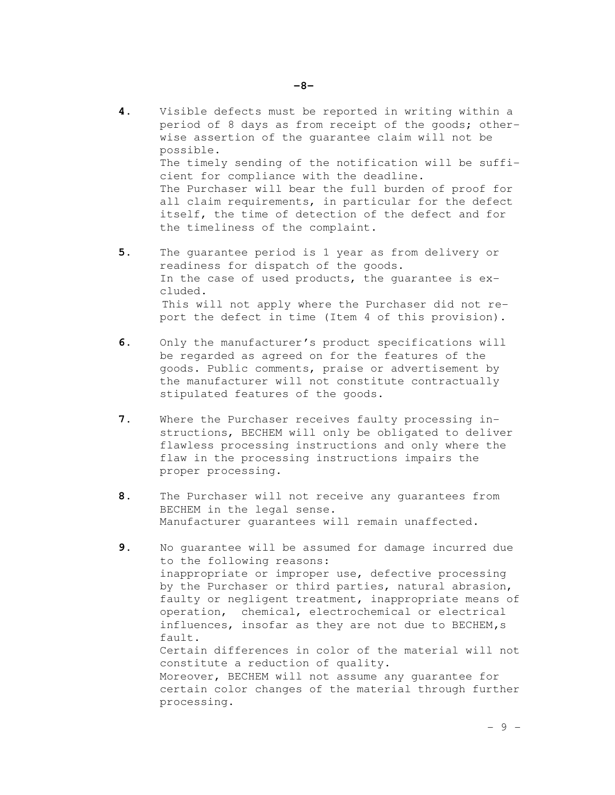- **4.** Visible defects must be reported in writing within a period of 8 days as from receipt of the goods; otherwise assertion of the guarantee claim will not be possible. The timely sending of the notification will be suffi cient for compliance with the deadline. The Purchaser will bear the full burden of proof for all claim requirements, in particular for the defect itself, the time of detection of the defect and for the timeliness of the complaint.
- **5.** The guarantee period is 1 year as from delivery or readiness for dispatch of the goods. In the case of used products, the guarantee is excluded. This will not apply where the Purchaser did not report the defect in time (Item 4 of this provision).
- **6.** Only the manufacturer's product specifications will be regarded as agreed on for the features of the goods. Public comments, praise or advertisement by the manufacturer will not constitute contractually stipulated features of the goods.
- **7.** Where the Purchaser receives faulty processing instructions, BECHEM will only be obligated to deliver flawless processing instructions and only where the flaw in the processing instructions impairs the proper processing.
- **8.** The Purchaser will not receive any guarantees from BECHEM in the legal sense. Manufacturer guarantees will remain unaffected**.**
- **9.** No guarantee will be assumed for damage incurred due to the following reasons: inappropriate or improper use, defective processing by the Purchaser or third parties, natural abrasion, faulty or negligent treatment, inappropriate means of operation, chemical, electrochemical or electrical  $influences, insofar as they are not due to BECHEM,s$ fault. Certain differences in color of the material will not constitute a reduction of quality. Moreover, BECHEM will not assume any guarantee for certain color changes of the material through further processing.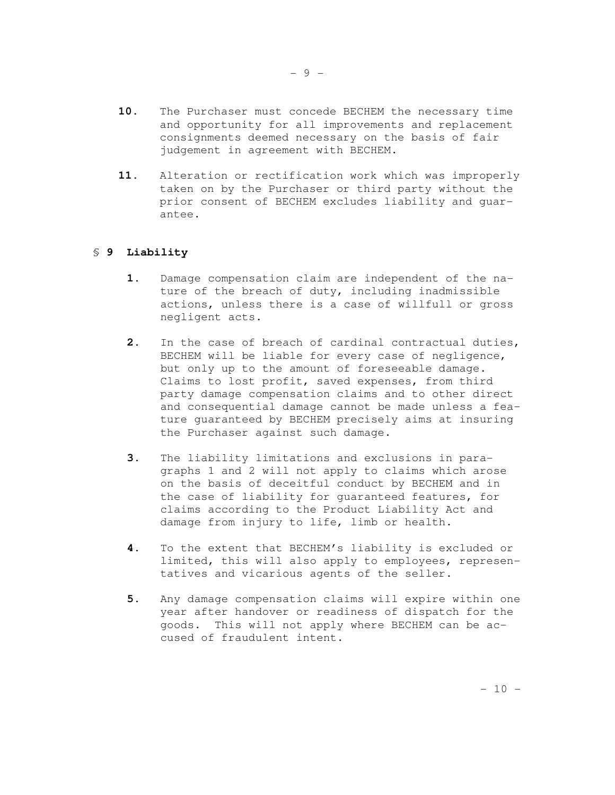- **10.** The Purchaser must concede BECHEM the necessary time and opportunity for all improvements and replacement consignments deemed necessary on the basis of fair judgement in agreement with BECHEM.
- **11.** Alteration or rectification work which was improperly taken on by the Purchaser or third party without the prior consent of BECHEM excludes liability and guarantee.

# § **9 Liability**

- **1.** Damage compensation claim are independent of the nature of the breach of duty, including inadmissible actions, unless there is a case of willfull or gross negligent acts.
- **2.** In the case of breach of cardinal contractual duties, BECHEM will be liable for every case of negligence, but only up to the amount of foreseeable damage. Claims to lost profit, saved expenses, from third party damage compensation claims and to other direct and consequential damage cannot be made unless a feature guaranteed by BECHEM precisely aims at insuring the Purchaser against such damage.
- **3.** The liability limitations and exclusions in paragraphs 1 and 2 will not apply to claims which arose on the basis of deceitful conduct by BECHEM and in the case of liability for guaranteed features, for claims according to the Product Liability Act and damage from injury to life, limb or health.
- **4.** To the extent that BECHEM's liability is excluded or limited, this will also apply to employees, representatives and vicarious agents of the seller.
- **5.** Any damage compensation claims will expire within one year after handover or readiness of dispatch for the goods. This will not apply where BECHEM can be accused of fraudulent intent.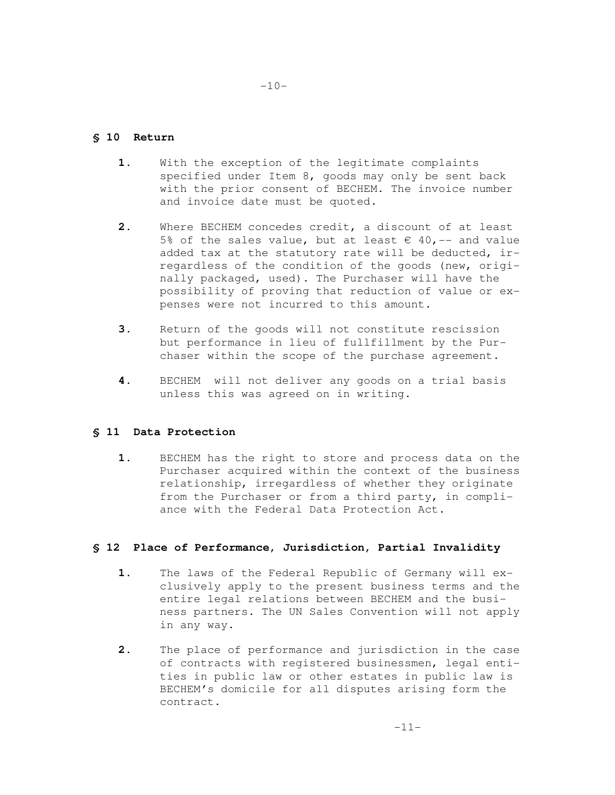# **§ 10 Return**

- 1. With the exception of the legitimate complaints specified under Item 8, goods may only be sent back with the prior consent of BECHEM. The invoice number and invoice date must be quoted.
- **2.** Where BECHEM concedes credit, a discount of at least 5% of the sales value, but at least  $\epsilon$  40, -- and value added tax at the statutory rate will be deducted, irregardless of the condition of the goods (new, originally packaged, used). The Purchaser will have the possibility of proving that reduction of value or expenses were not incurred to this amount.
- **3.** Return of the goods will not constitute rescission but performance in lieu of fullfillment by the Purchaser within the scope of the purchase agreement.
- **4.** BECHEM will not deliver any goods on a trial basis unless this was agreed on in writing.

# **§ 11 Data Protection**

 **1.** BECHEM has the right to store and process data on the Purchaser acquired within the context of the business relationship, irregardless of whether they originate from the Purchaser or from a third party, in compliance with the Federal Data Protection Act.

# **§ 12 Place of Performance, Jurisdiction, Partial Invalidity**

- **1.** The laws of the Federal Republic of Germany will exclusively apply to the present business terms and the entire legal relations between BECHEM and the business partners. The UN Sales Convention will not apply in any way.
- **2.** The place of performance and jurisdiction in the case of contracts with registered businessmen, legal entities in public law or other estates in public law is BECHEM's domicile for all disputes arising form the contract.